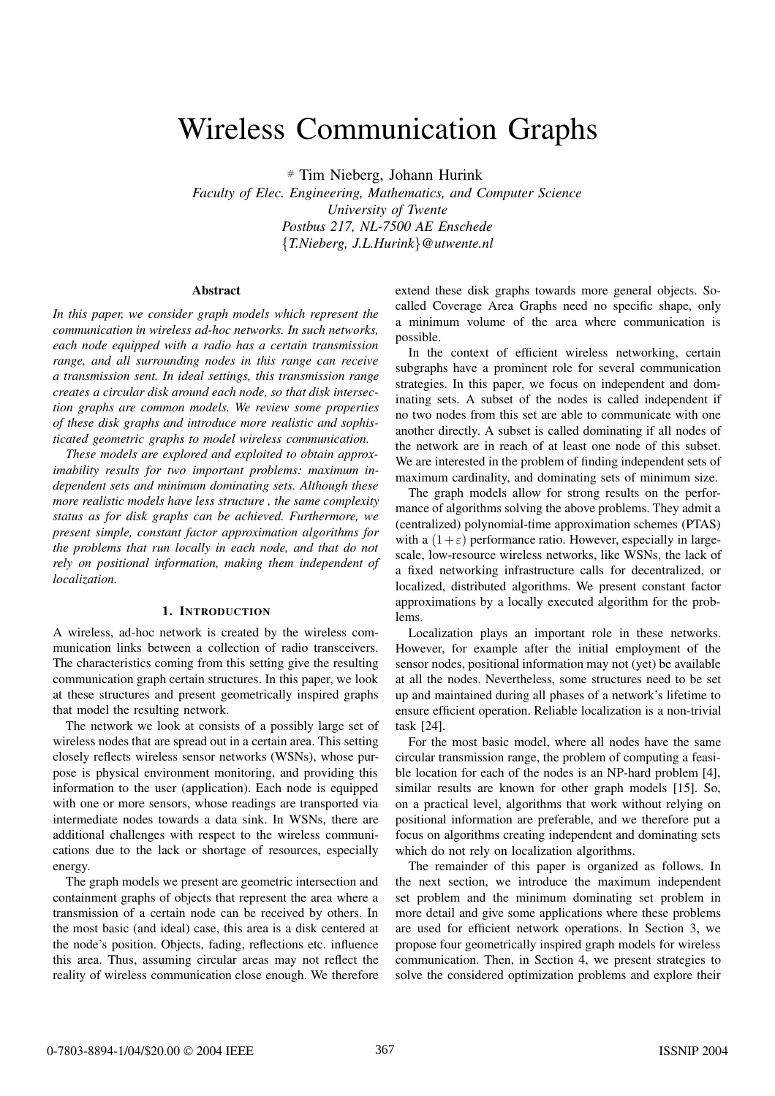# Wireless Communication Graphs

# Tim Nieberg, Johann Hurink

*Faculty of Elec. Engineering, Mathematics, and Computer Science University of Twente Postbus 217, NL-7500 AE Enschede* {*T.Nieberg, J.L.Hurink*}*@utwente.nl*

### **Abstract**

*In this paper, we consider graph models which represent the communication in wireless ad-hoc networks. In such networks, each node equipped with a radio has a certain transmission range, and all surrounding nodes in this range can receive a transmission sent. In ideal settings, this transmission range creates a circular disk around each node, so that disk intersection graphs are common models. We review some properties of these disk graphs and introduce more realistic and sophisticated geometric graphs to model wireless communication.*

*These models are explored and exploited to obtain approximability results for two important problems: maximum independent sets and minimum dominating sets. Although these more realistic models have less structure , the same complexity status as for disk graphs can be achieved. Furthermore, we present simple, constant factor approximation algorithms for the problems that run locally in each node, and that do not rely on positional information, making them independent of localization.*

## **1. INTRODUCTION**

A wireless, ad-hoc network is created by the wireless communication links between a collection of radio transceivers. The characteristics coming from this setting give the resulting communication graph certain structures. In this paper, we look at these structures and present geometrically inspired graphs that model the resulting network.

The network we look at consists of a possibly large set of wireless nodes that are spread out in a certain area. This setting closely reflects wireless sensor networks (WSNs), whose purpose is physical environment monitoring, and providing this information to the user (application). Each node is equipped with one or more sensors, whose readings are transported via intermediate nodes towards a data sink. In WSNs, there are additional challenges with respect to the wireless communications due to the lack or shortage of resources, especially energy.

The graph models we present are geometric intersection and containment graphs of objects that represent the area where a transmission of a certain node can be received by others. In the most basic (and ideal) case, this area is a disk centered at the node's position. Objects, fading, reflections etc. influence this area. Thus, assuming circular areas may not reflect the reality of wireless communication close enough. We therefore extend these disk graphs towards more general objects. Socalled Coverage Area Graphs need no specific shape, only a minimum volume of the area where communication is possible.

In the context of efficient wireless networking, certain subgraphs have a prominent role for several communication strategies. In this paper, we focus on independent and dominating sets. A subset of the nodes is called independent if no two nodes from this set are able to communicate with one another directly. A subset is called dominating if all nodes of the network are in reach of at least one node of this subset. We are interested in the problem of finding independent sets of maximum cardinality, and dominating sets of minimum size.

The graph models allow for strong results on the performance of algorithms solving the above problems. They admit a (centralized) polynomial-time approximation schemes (PTAS) with a  $(1+\varepsilon)$  performance ratio. However, especially in largescale, low-resource wireless networks, like WSNs, the lack of a fixed networking infrastructure calls for decentralized, or localized, distributed algorithms. We present constant factor approximations by a locally executed algorithm for the problems.

Localization plays an important role in these networks. However, for example after the initial employment of the sensor nodes, positional information may not (yet) be available at all the nodes. Nevertheless, some structures need to be set up and maintained during all phases of a network's lifetime to ensure efficient operation. Reliable localization is a non-trivial task [24].

For the most basic model, where all nodes have the same circular transmission range, the problem of computing a feasible location for each of the nodes is an NP-hard problem [4], similar results are known for other graph models [15]. So, on a practical level, algorithms that work without relying on positional information are preferable, and we therefore put a focus on algorithms creating independent and dominating sets which do not rely on localization algorithms.

The remainder of this paper is organized as follows. In the next section, we introduce the maximum independent set problem and the minimum dominating set problem in more detail and give some applications where these problems are used for efficient network operations. In Section 3, we propose four geometrically inspired graph models for wireless communication. Then, in Section 4, we present strategies to solve the considered optimization problems and explore their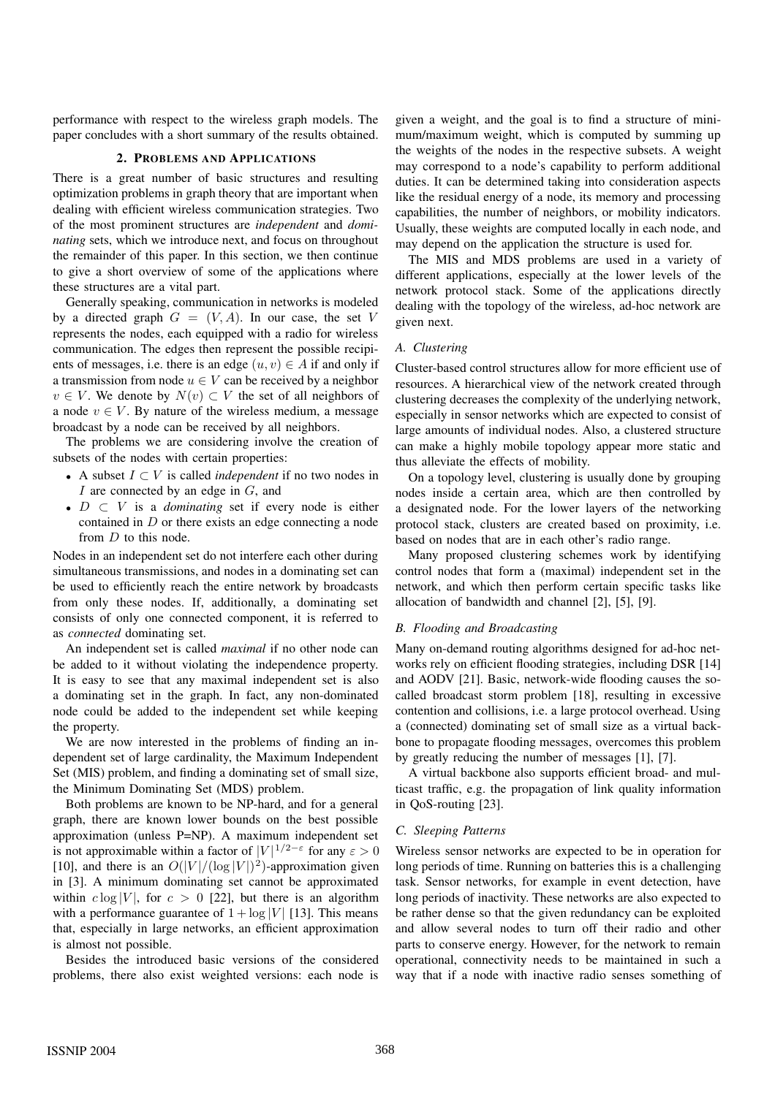performance with respect to the wireless graph models. The paper concludes with a short summary of the results obtained.

## **2. PROBLEMS AND APPLICATIONS**

There is a great number of basic structures and resulting optimization problems in graph theory that are important when dealing with efficient wireless communication strategies. Two of the most prominent structures are *independent* and *dominating* sets, which we introduce next, and focus on throughout the remainder of this paper. In this section, we then continue to give a short overview of some of the applications where these structures are a vital part.

Generally speaking, communication in networks is modeled by a directed graph  $G = (V, A)$ . In our case, the set V represents the nodes, each equipped with a radio for wireless communication. The edges then represent the possible recipients of messages, i.e. there is an edge  $(u, v) \in A$  if and only if a transmission from node  $u \in V$  can be received by a neighbor  $v \in V$ . We denote by  $N(v) \subset V$  the set of all neighbors of a node  $v \in V$ . By nature of the wireless medium, a message broadcast by a node can be received by all neighbors.

The problems we are considering involve the creation of subsets of the nodes with certain properties:

- A subset <sup>I</sup> <sup>⊂</sup> <sup>V</sup> is called *independent* if no two nodes in I are connected by an edge in  $G$ , and
- <sup>D</sup> <sup>⊂</sup> <sup>V</sup> is a *dominating* set if every node is either contained in  $D$  or there exists an edge connecting a node from D to this node.

Nodes in an independent set do not interfere each other during simultaneous transmissions, and nodes in a dominating set can be used to efficiently reach the entire network by broadcasts from only these nodes. If, additionally, a dominating set consists of only one connected component, it is referred to as *connected* dominating set.

An independent set is called *maximal* if no other node can be added to it without violating the independence property. It is easy to see that any maximal independent set is also a dominating set in the graph. In fact, any non-dominated node could be added to the independent set while keeping the property.

We are now interested in the problems of finding an independent set of large cardinality, the Maximum Independent Set (MIS) problem, and finding a dominating set of small size, the Minimum Dominating Set (MDS) problem.

Both problems are known to be NP-hard, and for a general graph, there are known lower bounds on the best possible approximation (unless P=NP). A maximum independent set is not approximable within a factor of  $|V|^{1/2-\epsilon}$  for any  $\varepsilon > 0$ [10], and there is an  $O(|V|/(\log |V|)^2)$ -approximation given in [3]. A minimum dominating set cannot be approximated within  $c \log |V|$ , for  $c > 0$  [22], but there is an algorithm with a performance guarantee of  $1 + \log |V|$  [13]. This means that, especially in large networks, an efficient approximation is almost not possible.

Besides the introduced basic versions of the considered problems, there also exist weighted versions: each node is given a weight, and the goal is to find a structure of minimum/maximum weight, which is computed by summing up the weights of the nodes in the respective subsets. A weight may correspond to a node's capability to perform additional duties. It can be determined taking into consideration aspects like the residual energy of a node, its memory and processing capabilities, the number of neighbors, or mobility indicators. Usually, these weights are computed locally in each node, and may depend on the application the structure is used for.

The MIS and MDS problems are used in a variety of different applications, especially at the lower levels of the network protocol stack. Some of the applications directly dealing with the topology of the wireless, ad-hoc network are given next.

## *A. Clustering*

Cluster-based control structures allow for more efficient use of resources. A hierarchical view of the network created through clustering decreases the complexity of the underlying network, especially in sensor networks which are expected to consist of large amounts of individual nodes. Also, a clustered structure can make a highly mobile topology appear more static and thus alleviate the effects of mobility.

On a topology level, clustering is usually done by grouping nodes inside a certain area, which are then controlled by a designated node. For the lower layers of the networking protocol stack, clusters are created based on proximity, i.e. based on nodes that are in each other's radio range.

Many proposed clustering schemes work by identifying control nodes that form a (maximal) independent set in the network, and which then perform certain specific tasks like allocation of bandwidth and channel [2], [5], [9].

# *B. Flooding and Broadcasting*

Many on-demand routing algorithms designed for ad-hoc networks rely on efficient flooding strategies, including DSR [14] and AODV [21]. Basic, network-wide flooding causes the socalled broadcast storm problem [18], resulting in excessive contention and collisions, i.e. a large protocol overhead. Using a (connected) dominating set of small size as a virtual backbone to propagate flooding messages, overcomes this problem by greatly reducing the number of messages [1], [7].

A virtual backbone also supports efficient broad- and multicast traffic, e.g. the propagation of link quality information in QoS-routing [23].

## *C. Sleeping Patterns*

Wireless sensor networks are expected to be in operation for long periods of time. Running on batteries this is a challenging task. Sensor networks, for example in event detection, have long periods of inactivity. These networks are also expected to be rather dense so that the given redundancy can be exploited and allow several nodes to turn off their radio and other parts to conserve energy. However, for the network to remain operational, connectivity needs to be maintained in such a way that if a node with inactive radio senses something of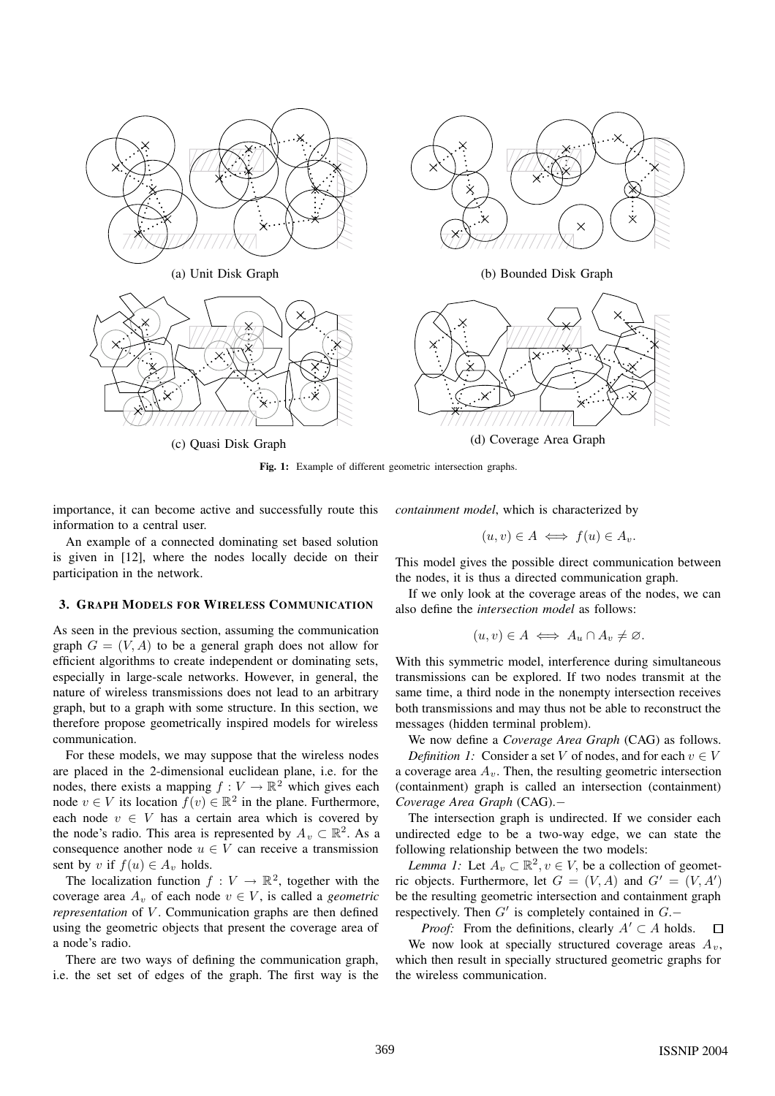

**Fig. 1:** Example of different geometric intersection graphs.

importance, it can become active and successfully route this information to a central user.

*containment model*, which is characterized by

$$
(u,v)\in A \iff f(u)\in A_v.
$$

An example of a connected dominating set based solution is given in [12], where the nodes locally decide on their participation in the network.

## **3. GRAPH MODELS FOR WIRELESS COMMUNICATION**

As seen in the previous section, assuming the communication graph  $G = (V, A)$  to be a general graph does not allow for efficient algorithms to create independent or dominating sets, especially in large-scale networks. However, in general, the nature of wireless transmissions does not lead to an arbitrary graph, but to a graph with some structure. In this section, we therefore propose geometrically inspired models for wireless communication.

For these models, we may suppose that the wireless nodes are placed in the 2-dimensional euclidean plane, i.e. for the nodes, there exists a mapping  $f: V \to \mathbb{R}^2$  which gives each node  $v \in V$  its location  $f(v) \in \mathbb{R}^2$  in the plane. Furthermore, each node  $v \in V$  has a certain area which is covered by the node's radio. This area is represented by  $A_v \subset \mathbb{R}^2$ . As a consequence another node  $u \in V$  can receive a transmission sent by v if  $f(u) \in A_v$  holds.

The localization function  $f : V \to \mathbb{R}^2$ , together with the coverage area  $A_v$  of each node  $v \in V$ , is called a *geometric representation* of *V*. Communication graphs are then defined using the geometric objects that present the coverage area of a node's radio.

There are two ways of defining the communication graph, i.e. the set set of edges of the graph. The first way is the This model gives the possible direct communication between the nodes, it is thus a directed communication graph.

If we only look at the coverage areas of the nodes, we can also define the *intersection model* as follows:

$$
(u,v)\in A \iff A_u\cap A_v\neq\varnothing.
$$

With this symmetric model, interference during simultaneous transmissions can be explored. If two nodes transmit at the same time, a third node in the nonempty intersection receives both transmissions and may thus not be able to reconstruct the messages (hidden terminal problem).

We now define a *Coverage Area Graph* (CAG) as follows.

*Definition 1:* Consider a set V of nodes, and for each  $v \in V$ a coverage area  $A_v$ . Then, the resulting geometric intersection (containment) graph is called an intersection (containment) *Coverage Area Graph* (CAG).−

The intersection graph is undirected. If we consider each undirected edge to be a two-way edge, we can state the following relationship between the two models:

*Lemma 1:* Let  $A_v \subset \mathbb{R}^2$ ,  $v \in V$ , be a collection of geometric objects. Furthermore, let  $G = (V, A)$  and  $G' = (V, A')$ be the resulting geometric intersection and containment graph respectively. Then  $G'$  is completely contained in  $G$ .−

*Proof:* From the definitions, clearly  $A' \subset A$  holds.  $\Box$ We now look at specially structured coverage areas  $A_v$ , which then result in specially structured geometric graphs for the wireless communication.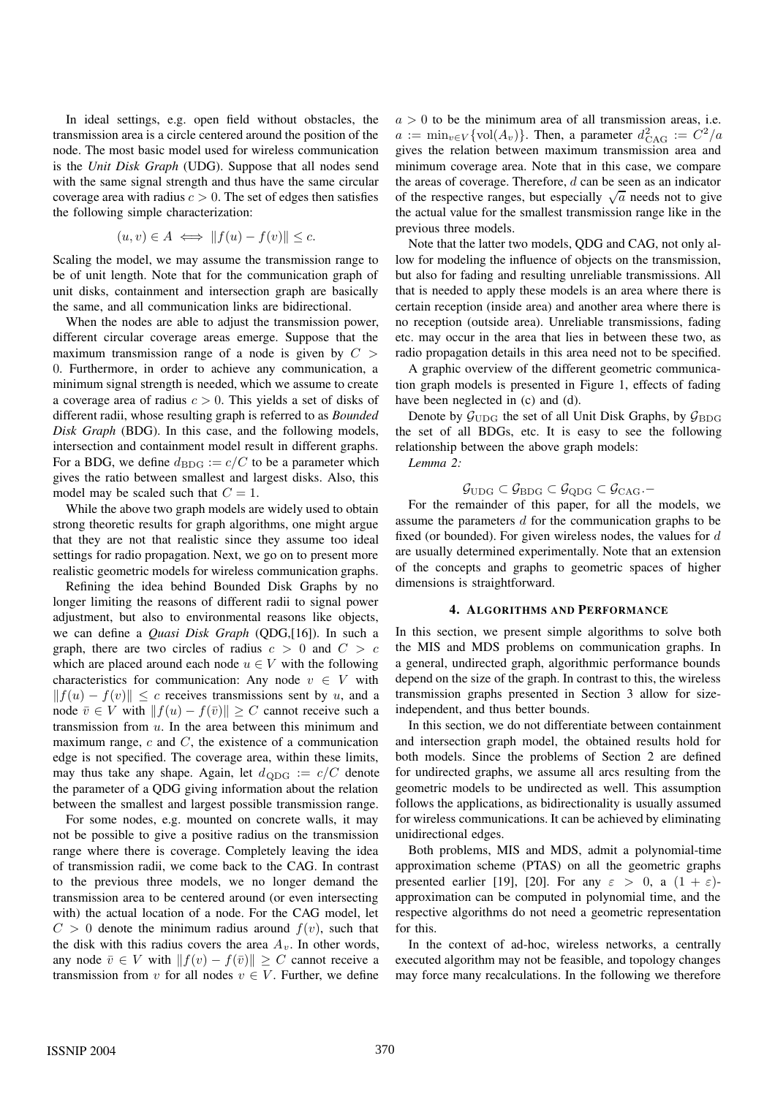In ideal settings, e.g. open field without obstacles, the transmission area is a circle centered around the position of the node. The most basic model used for wireless communication is the *Unit Disk Graph* (UDG). Suppose that all nodes send with the same signal strength and thus have the same circular coverage area with radius  $c > 0$ . The set of edges then satisfies the following simple characterization:

$$
(u, v) \in A \iff ||f(u) - f(v)|| \le c.
$$

Scaling the model, we may assume the transmission range to be of unit length. Note that for the communication graph of unit disks, containment and intersection graph are basically the same, and all communication links are bidirectional.

When the nodes are able to adjust the transmission power, different circular coverage areas emerge. Suppose that the maximum transmission range of a node is given by  $C >$ 0. Furthermore, in order to achieve any communication, a minimum signal strength is needed, which we assume to create a coverage area of radius  $c > 0$ . This yields a set of disks of different radii, whose resulting graph is referred to as *Bounded Disk Graph* (BDG). In this case, and the following models, intersection and containment model result in different graphs. For a BDG, we define  $d_{\text{BDG}} := c/C$  to be a parameter which gives the ratio between smallest and largest disks. Also, this model may be scaled such that  $C = 1$ .

While the above two graph models are widely used to obtain strong theoretic results for graph algorithms, one might argue that they are not that realistic since they assume too ideal settings for radio propagation. Next, we go on to present more realistic geometric models for wireless communication graphs.

Refining the idea behind Bounded Disk Graphs by no longer limiting the reasons of different radii to signal power adjustment, but also to environmental reasons like objects, we can define a *Quasi Disk Graph* (QDG,[16]). In such a graph, there are two circles of radius  $c > 0$  and  $C > c$ which are placed around each node  $u \in V$  with the following characteristics for communication: Any node  $v \in V$  with  $||f(u) - f(v)|| \leq c$  receives transmissions sent by u, and a node  $\overline{v} \in V$  with  $|| f(u) - f(\overline{v}) || \ge C$  cannot receive such a transmission from  $u$ . In the area between this minimum and maximum range,  $c$  and  $C$ , the existence of a communication edge is not specified. The coverage area, within these limits, may thus take any shape. Again, let  $d_{ODG} := c/C$  denote the parameter of a QDG giving information about the relation between the smallest and largest possible transmission range.

For some nodes, e.g. mounted on concrete walls, it may not be possible to give a positive radius on the transmission range where there is coverage. Completely leaving the idea of transmission radii, we come back to the CAG. In contrast to the previous three models, we no longer demand the transmission area to be centered around (or even intersecting with) the actual location of a node. For the CAG model, let  $C > 0$  denote the minimum radius around  $f(v)$ , such that the disk with this radius covers the area  $A_v$ . In other words, any node  $\bar{v} \in V$  with  $||f(v) - f(\bar{v})|| \geq C$  cannot receive a transmission from v for all nodes  $v \in V$ . Further, we define  $a > 0$  to be the minimum area of all transmission areas, i.e.  $a := \min_{v \in V} {\text{vol}(A_v)}$ . Then, a parameter  $d_{\text{CAG}}^2 := C^2/a$ <br>gives the relation between maximum transmission area and gives the relation between maximum transmission area and minimum coverage area. Note that in this case, we compare the areas of coverage. Therefore,  $d$  can be seen as an indicator of the respective ranges, but especially  $\sqrt{a}$  needs not to give the actual value for the smallest transmission range like in the previous three models.

Note that the latter two models, QDG and CAG, not only allow for modeling the influence of objects on the transmission, but also for fading and resulting unreliable transmissions. All that is needed to apply these models is an area where there is certain reception (inside area) and another area where there is no reception (outside area). Unreliable transmissions, fading etc. may occur in the area that lies in between these two, as radio propagation details in this area need not to be specified.

A graphic overview of the different geometric communication graph models is presented in Figure 1, effects of fading have been neglected in (c) and (d).

Denote by  $\mathcal{G}_{\text{UDG}}$  the set of all Unit Disk Graphs, by  $\mathcal{G}_{\text{BDG}}$ the set of all BDGs, etc. It is easy to see the following relationship between the above graph models:

*Lemma 2:*

$$
\mathcal{G}_{\mathrm{UDG}}\subset\mathcal{G}_{\mathrm{BDG}}\subset\mathcal{G}_{\mathrm{QDG}}\subset\mathcal{G}_{\mathrm{CAG}}.
$$

For the remainder of this paper, for all the models, we assume the parameters d for the communication graphs to be fixed (or bounded). For given wireless nodes, the values for  $d$ are usually determined experimentally. Note that an extension of the concepts and graphs to geometric spaces of higher dimensions is straightforward.

## **4. ALGORITHMS AND PERFORMANCE**

In this section, we present simple algorithms to solve both the MIS and MDS problems on communication graphs. In a general, undirected graph, algorithmic performance bounds depend on the size of the graph. In contrast to this, the wireless transmission graphs presented in Section 3 allow for sizeindependent, and thus better bounds.

In this section, we do not differentiate between containment and intersection graph model, the obtained results hold for both models. Since the problems of Section 2 are defined for undirected graphs, we assume all arcs resulting from the geometric models to be undirected as well. This assumption follows the applications, as bidirectionality is usually assumed for wireless communications. It can be achieved by eliminating unidirectional edges.

Both problems, MIS and MDS, admit a polynomial-time approximation scheme (PTAS) on all the geometric graphs presented earlier [19], [20]. For any  $\varepsilon > 0$ , a  $(1 + \varepsilon)$ approximation can be computed in polynomial time, and the respective algorithms do not need a geometric representation for this.

In the context of ad-hoc, wireless networks, a centrally executed algorithm may not be feasible, and topology changes may force many recalculations. In the following we therefore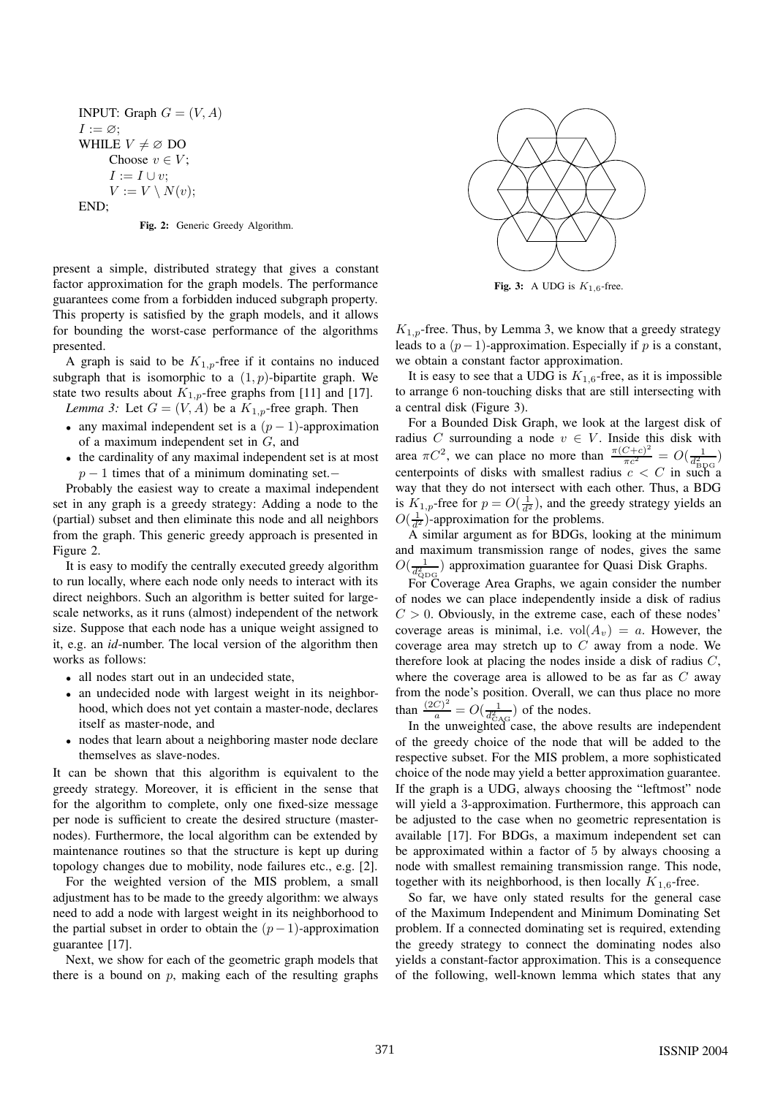INPUT: Graph  $G = (V, A)$  $I := \varnothing;$ WHILE  $V \neq \emptyset$  DO Choose  $v \in V$ ;  $I := I \cup v$ :  $V := V \setminus N(v);$ END;

**Fig. 2:** Generic Greedy Algorithm.

present a simple, distributed strategy that gives a constant factor approximation for the graph models. The performance guarantees come from a forbidden induced subgraph property. This property is satisfied by the graph models, and it allows for bounding the worst-case performance of the algorithms presented.

A graph is said to be  $K_{1,p}$ -free if it contains no induced subgraph that is isomorphic to a  $(1, p)$ -bipartite graph. We state two results about  $K_{1,p}$ -free graphs from [11] and [17].

- *Lemma 3:* Let  $G = (V, A)$  be a  $K_{1,p}$ -free graph. Then
- any maximal independent set is a  $(p-1)$ -approximation of a maximum independent set in G, and
- the cardinality of any maximal independent set is at most  $p-1$  times that of a minimum dominating set.−

Probably the easiest way to create a maximal independent set in any graph is a greedy strategy: Adding a node to the (partial) subset and then eliminate this node and all neighbors from the graph. This generic greedy approach is presented in Figure 2.

It is easy to modify the centrally executed greedy algorithm to run locally, where each node only needs to interact with its direct neighbors. Such an algorithm is better suited for largescale networks, as it runs (almost) independent of the network size. Suppose that each node has a unique weight assigned to it, e.g. an *id*-number. The local version of the algorithm then works as follows:

- all nodes start out in an undecided state,
- an undecided node with largest weight in its neighborhood, which does not yet contain a master-node, declares itself as master-node, and
- nodes that learn about a neighboring master node declare themselves as slave-nodes.

It can be shown that this algorithm is equivalent to the greedy strategy. Moreover, it is efficient in the sense that for the algorithm to complete, only one fixed-size message per node is sufficient to create the desired structure (masternodes). Furthermore, the local algorithm can be extended by maintenance routines so that the structure is kept up during topology changes due to mobility, node failures etc., e.g. [2].

For the weighted version of the MIS problem, a small adjustment has to be made to the greedy algorithm: we always need to add a node with largest weight in its neighborhood to the partial subset in order to obtain the  $(p-1)$ -approximation guarantee [17].

Next, we show for each of the geometric graph models that there is a bound on  $p$ , making each of the resulting graphs



**Fig. 3:** A UDG is  $K_{1,6}$ -free.

 $K_{1,p}$ -free. Thus, by Lemma 3, we know that a greedy strategy leads to a  $(p-1)$ -approximation. Especially if p is a constant, we obtain a constant factor approximation.

It is easy to see that a UDG is  $K_{1,6}$ -free, as it is impossible to arrange 6 non-touching disks that are still intersecting with a central disk (Figure 3).

For a Bounded Disk Graph, we look at the largest disk of radius C surrounding a node  $v \in V$ . Inside this disk with area  $\pi C^2$ , we can place no more than  $\frac{\pi (C+c)^2}{\pi c^2} = O(\frac{1}{d_{\text{BDG}}^2})$ centerpoints of disks with smallest radius  $c < C$  in such a way that they do not intersect with each other. Thus, a BDG is  $K_{1,p}$ -free for  $p = O(\frac{1}{d^2})$ , and the greedy strategy yields an  $O(\frac{1}{d})$ -approximation for the problems  $O(\frac{1}{d^2})$ -approximation for the problems.<br>A similar argument as for BDGs, loc

A similar argument as for BDGs, looking at the minimum and maximum transmission range of nodes, gives the same  $O(\frac{1}{d_{\text{QDG}}^2})$  approximation guarantee for Quasi Disk Graphs.

For Coverage Area Graphs, we again consider the number of nodes we can place independently inside a disk of radius  $C > 0$ . Obviously, in the extreme case, each of these nodes' coverage areas is minimal, i.e.  $vol(A_v) = a$ . However, the coverage area may stretch up to  $C$  away from a node. We therefore look at placing the nodes inside a disk of radius  $C$ , where the coverage area is allowed to be as far as  $C$  away from the node's position. Overall, we can thus place no more than  $\frac{(2C)^2}{a} = O(\frac{1}{d_{\text{CAG}}^2})$  of the nodes.<br>In the unweighted case, the above results are independent

of the greedy choice of the node that will be added to the respective subset. For the MIS problem, a more sophisticated choice of the node may yield a better approximation guarantee. If the graph is a UDG, always choosing the "leftmost" node will yield a 3-approximation. Furthermore, this approach can be adjusted to the case when no geometric representation is available [17]. For BDGs, a maximum independent set can be approximated within a factor of 5 by always choosing a node with smallest remaining transmission range. This node, together with its neighborhood, is then locally  $K_{1,6}$ -free.

So far, we have only stated results for the general case of the Maximum Independent and Minimum Dominating Set problem. If a connected dominating set is required, extending the greedy strategy to connect the dominating nodes also yields a constant-factor approximation. This is a consequence of the following, well-known lemma which states that any